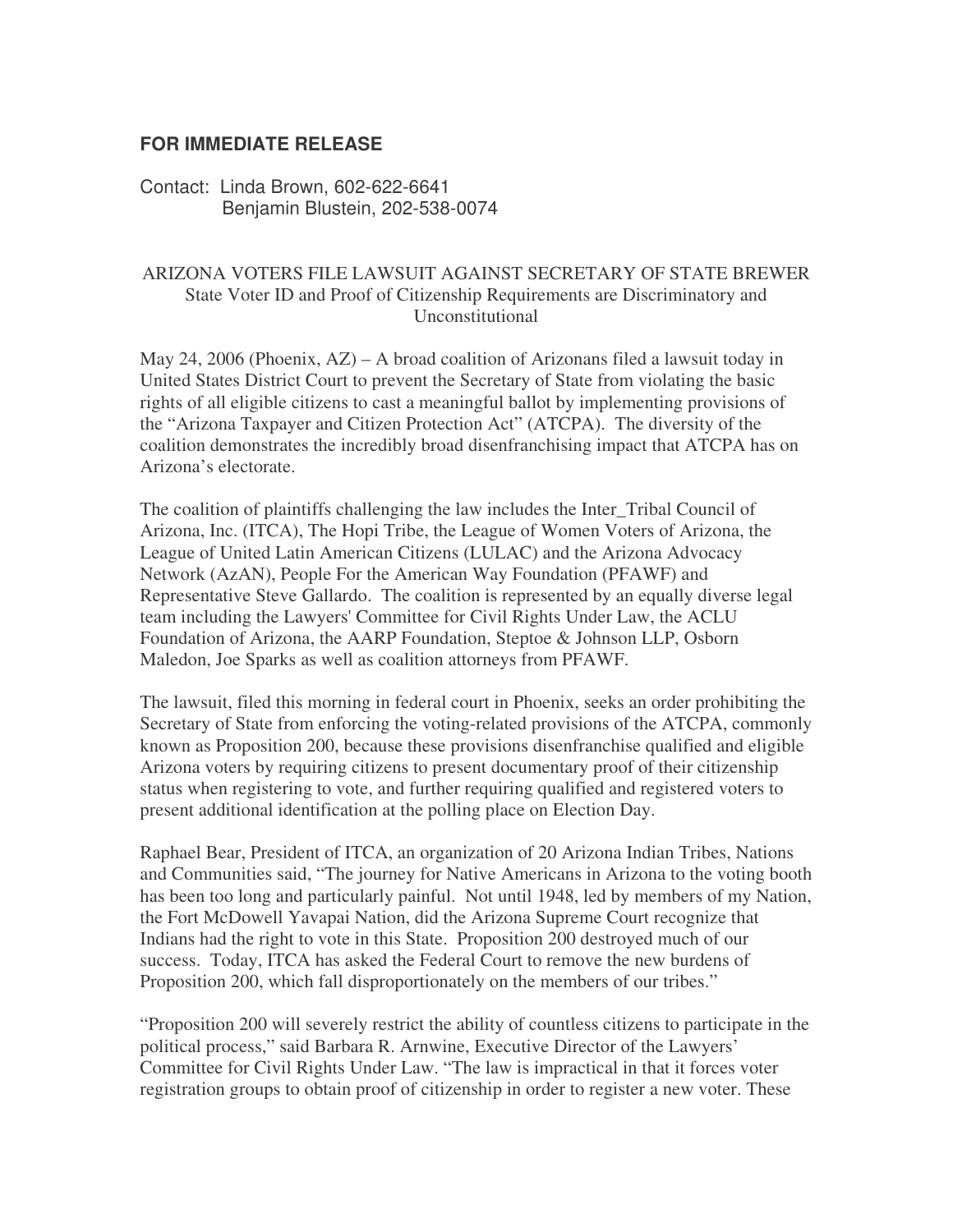## **FOR IMMEDIATE RELEASE**

Contact: Linda Brown, 602-622-6641 Benjamin Blustein, 202-538-0074

## ARIZONA VOTERS FILE LAWSUIT AGAINST SECRETARY OF STATE BREWER State Voter ID and Proof of Citizenship Requirements are Discriminatory and Unconstitutional

May 24, 2006 (Phoenix, AZ) – A broad coalition of Arizonans filed a lawsuit today in United States District Court to prevent the Secretary of State from violating the basic rights of all eligible citizens to cast a meaningful ballot by implementing provisions of the "Arizona Taxpayer and Citizen Protection Act" (ATCPA). The diversity of the coalition demonstrates the incredibly broad disenfranchising impact that ATCPA has on Arizona's electorate.

The coalition of plaintiffs challenging the law includes the Inter\_Tribal Council of Arizona, Inc. (ITCA), The Hopi Tribe, the League of Women Voters of Arizona, the League of United Latin American Citizens (LULAC) and the Arizona Advocacy Network (AzAN), People For the American Way Foundation (PFAWF) and Representative Steve Gallardo. The coalition is represented by an equally diverse legal team including the Lawyers'Committee for Civil Rights Under Law, the ACLU Foundation of Arizona, the AARP Foundation, Steptoe & Johnson LLP, Osborn Maledon, Joe Sparks as well as coalition attorneys from PFAWF.

The lawsuit, filed this morning in federal court in Phoenix, seeks an order prohibiting the Secretary of State from enforcing the voting-related provisions of the ATCPA, commonly known as Proposition 200, because these provisions disenfranchise qualified and eligible Arizona voters by requiring citizens to present documentary proof of their citizenship status when registering to vote, and further requiring qualified and registered voters to present additional identification at the polling place on Election Day.

Raphael Bear, President of ITCA, an organization of 20 Arizona Indian Tribes, Nations and Communities said, "The journey for Native Americans in Arizona to the voting booth has been too long and particularly painful. Not until 1948, led by members of my Nation, the Fort McDowell Yavapai Nation, did the Arizona Supreme Court recognize that Indians had the right to vote in this State. Proposition 200 destroyed much of our success. Today, ITCA has asked the Federal Court to remove the new burdens of Proposition 200, which fall disproportionately on the members of our tribes."

"Proposition 200 will severely restrict the ability of countless citizens to participate in the political process," said Barbara R. Arnwine, Executive Director of the Lawyers' Committee for Civil Rights Under Law. "The law is impractical in that it forces voter registration groups to obtain proof of citizenship in order to register a new voter. These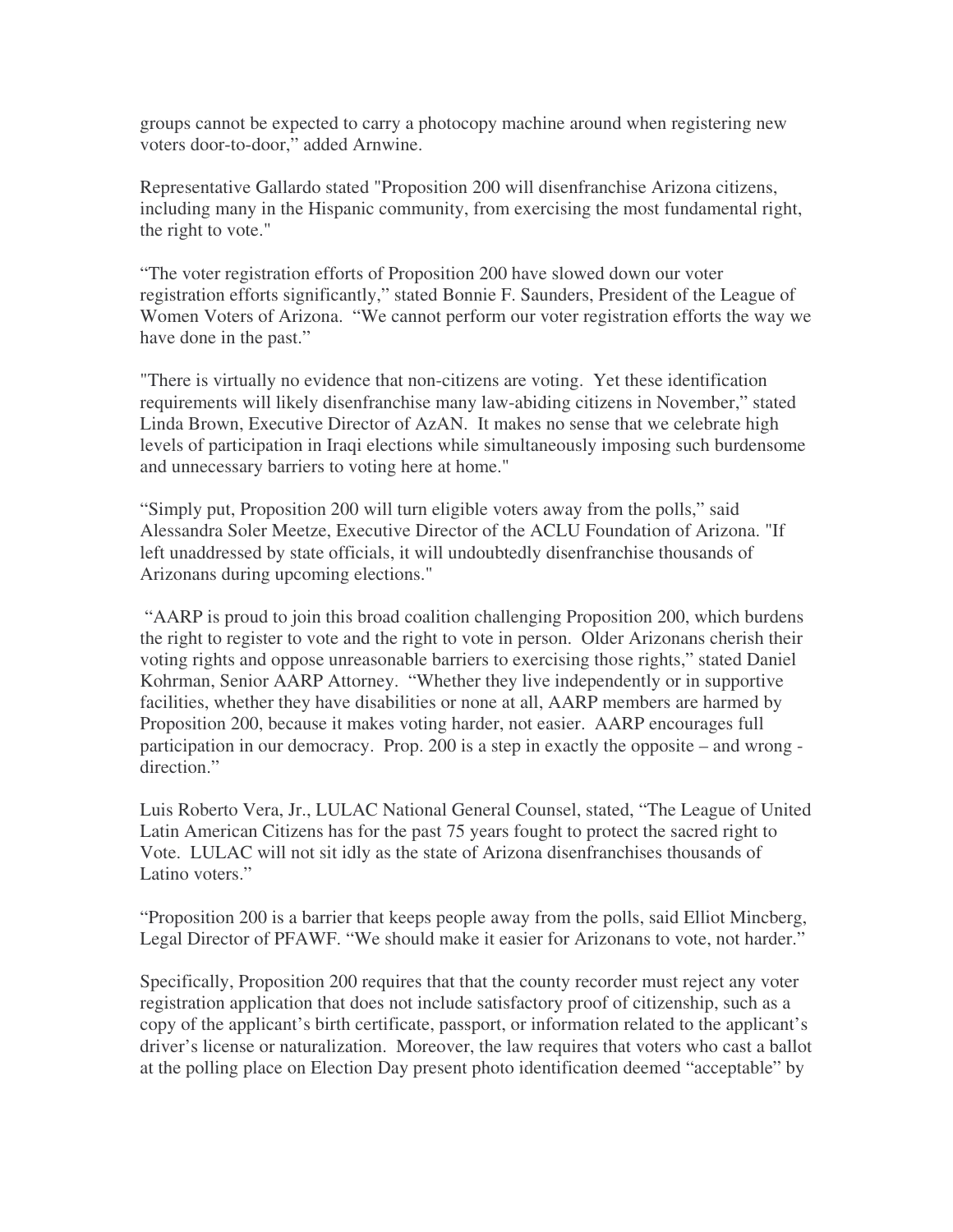groups cannot be expected to carry a photocopy machine around when registering new voters door-to-door," added Arnwine.

Representative Gallardo stated "Proposition 200 will disenfranchise Arizona citizens, including many in the Hispanic community, from exercising the most fundamental right, the right to vote."

"The voter registration efforts of Proposition 200 have slowed down our voter registration efforts significantly," stated Bonnie F. Saunders, President of the League of Women Voters of Arizona. "We cannot perform our voter registration efforts the way we have done in the past."

"There is virtually no evidence that non-citizens are voting. Yet these identification requirements will likely disenfranchise many law-abiding citizens in November," stated Linda Brown, Executive Director of AzAN. It makes no sense that we celebrate high levels of participation in Iraqi elections while simultaneously imposing such burdensome and unnecessary barriers to voting here at home."

"Simply put, Proposition 200 will turn eligible voters away from the polls," said Alessandra Soler Meetze, Executive Director of the ACLU Foundation of Arizona. "If left unaddressed by state officials, it will undoubtedly disenfranchise thousands of Arizonans during upcoming elections."

"AARP is proud to join this broad coalition challenging Proposition 200, which burdens the right to register to vote and the right to vote in person. Older Arizonans cherish their voting rights and oppose unreasonable barriers to exercising those rights," stated Daniel Kohrman, Senior AARP Attorney. "Whether they live independently or in supportive facilities, whether they have disabilities or none at all, AARP members are harmed by Proposition 200, because it makes voting harder, not easier. AARP encourages full participation in our democracy. Prop. 200 is a step in exactly the opposite – and wrong direction."

Luis Roberto Vera, Jr., LULAC National General Counsel, stated, "The League of United Latin American Citizens has for the past 75 years fought to protect the sacred right to Vote. LULAC will not sit idly as the state of Arizona disenfranchises thousands of Latino voters."

"Proposition 200 is a barrier that keeps people away from the polls, said Elliot Mincberg, Legal Director of PFAWF. "We should make it easier for Arizonans to vote, not harder."

Specifically, Proposition 200 requires that that the county recorder must reject any voter registration application that does not include satisfactory proof of citizenship, such as a copy of the applicant's birth certificate, passport, or information related to the applicant's driver's license or naturalization. Moreover, the law requires that voters who cast a ballot at the polling place on Election Day present photo identification deemed "acceptable" by